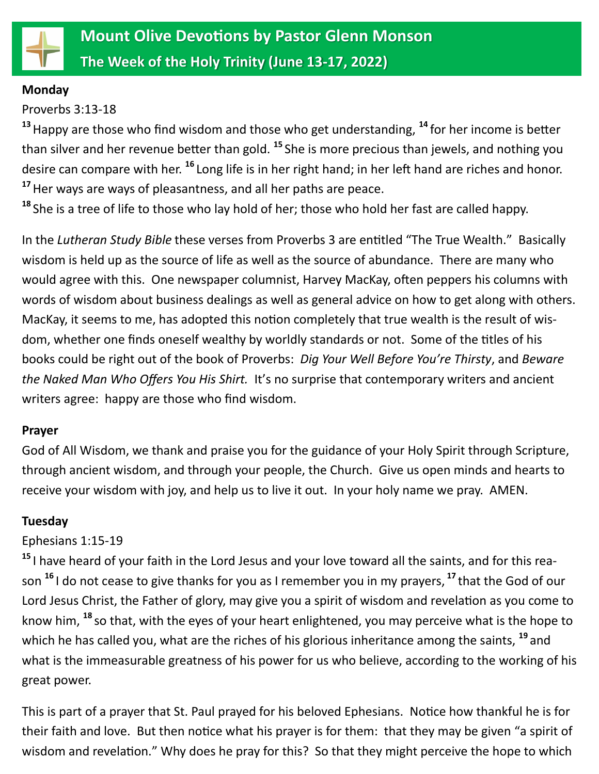

#### **Monday**

Proverbs 3:13-18

**<sup>13</sup>**Happy are those who find wisdom and those who get understanding, **<sup>14</sup>** for her income is better than silver and her revenue better than gold. **<sup>15</sup>** She is more precious than jewels, and nothing you desire can compare with her. **<sup>16</sup>** Long life is in her right hand; in her left hand are riches and honor. **<sup>17</sup>**Her ways are ways of pleasantness, and all her paths are peace.

**<sup>18</sup>** She is a tree of life to those who lay hold of her; those who hold her fast are called happy.

In the *Lutheran Study Bible* these verses from Proverbs 3 are entitled "The True Wealth." Basically wisdom is held up as the source of life as well as the source of abundance. There are many who would agree with this. One newspaper columnist, Harvey MacKay, often peppers his columns with words of wisdom about business dealings as well as general advice on how to get along with others. MacKay, it seems to me, has adopted this notion completely that true wealth is the result of wisdom, whether one finds oneself wealthy by worldly standards or not. Some of the titles of his books could be right out of the book of Proverbs: *Dig Your Well Before You're Thirsty*, and *Beware the Naked Man Who Offers You His Shirt.* It's no surprise that contemporary writers and ancient writers agree: happy are those who find wisdom.

#### **Prayer**

God of All Wisdom, we thank and praise you for the guidance of your Holy Spirit through Scripture, through ancient wisdom, and through your people, the Church. Give us open minds and hearts to receive your wisdom with joy, and help us to live it out. In your holy name we pray. AMEN.

## **Tuesday**

# Ephesians 1:15-19

**<sup>15</sup>** I have heard of your faith in the Lord Jesus and your love toward all the saints, and for this reason **<sup>16</sup>** I do not cease to give thanks for you as I remember you in my prayers, **<sup>17</sup>** that the God of our Lord Jesus Christ, the Father of glory, may give you a spirit of wisdom and revelation as you come to know him, **<sup>18</sup>** so that, with the eyes of your heart enlightened, you may perceive what is the hope to which he has called you, what are the riches of his glorious inheritance among the saints, **<sup>19</sup>** and what is the immeasurable greatness of his power for us who believe, according to the working of his great power.

This is part of a prayer that St. Paul prayed for his beloved Ephesians. Notice how thankful he is for their faith and love. But then notice what his prayer is for them: that they may be given "a spirit of wisdom and revelation." Why does he pray for this? So that they might perceive the hope to which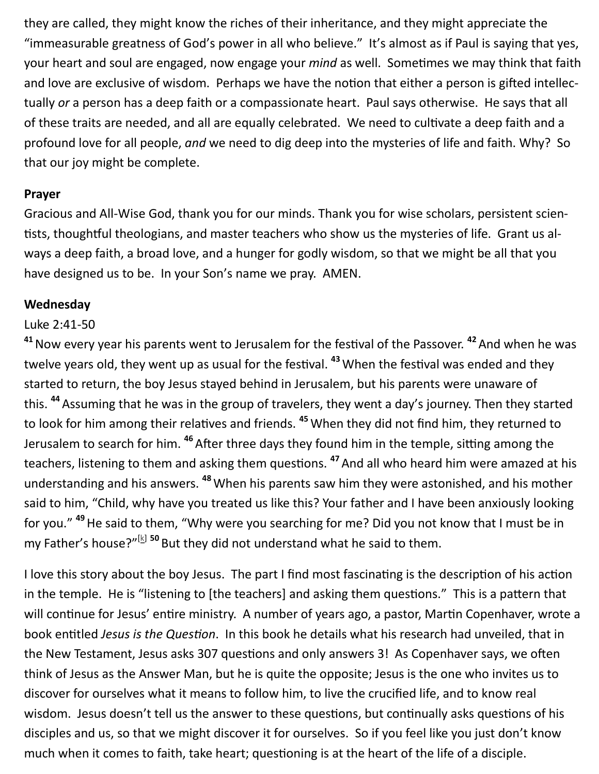they are called, they might know the riches of their inheritance, and they might appreciate the "immeasurable greatness of God's power in all who believe." It's almost as if Paul is saying that yes, your heart and soul are engaged, now engage your *mind* as well. Sometimes we may think that faith and love are exclusive of wisdom. Perhaps we have the notion that either a person is gifted intellectually *or* a person has a deep faith or a compassionate heart. Paul says otherwise. He says that all of these traits are needed, and all are equally celebrated. We need to cultivate a deep faith and a profound love for all people, *and* we need to dig deep into the mysteries of life and faith. Why? So that our joy might be complete.

#### **Prayer**

Gracious and All-Wise God, thank you for our minds. Thank you for wise scholars, persistent scientists, thoughtful theologians, and master teachers who show us the mysteries of life. Grant us always a deep faith, a broad love, and a hunger for godly wisdom, so that we might be all that you have designed us to be. In your Son's name we pray. AMEN.

# **Wednesday**

# Luke 2:41-50

**<sup>41</sup>**Now every year his parents went to Jerusalem for the festival of the Passover. **<sup>42</sup>**And when he was twelve years old, they went up as usual for the festival. **<sup>43</sup>**When the festival was ended and they started to return, the boy Jesus stayed behind in Jerusalem, but his parents were unaware of this. **<sup>44</sup>** Assuming that he was in the group of travelers, they went a day's journey. Then they started to look for him among their relatives and friends. **<sup>45</sup>** When they did not find him, they returned to Jerusalem to search for him. **<sup>46</sup>**After three days they found him in the temple, sitting among the teachers, listening to them and asking them questions. **<sup>47</sup>**And all who heard him were amazed at his understanding and his answers. **<sup>48</sup>**When his parents saw him they were astonished, and his mother said to him, "Child, why have you treated us like this? Your father and I have been anxiously looking for you." **<sup>49</sup>**He said to them, "Why were you searching for me? Did you not know that I must be in my Father's house?"<sup>[\[k\]](https://www.biblegateway.com/passage/?search=Luke+2&version=NRSVUE#fen-NRSVUE-25015k) 50</sup> But they did not understand what he said to them.

I love this story about the boy Jesus. The part I find most fascinating is the description of his action in the temple. He is "listening to [the teachers] and asking them questions." This is a pattern that will continue for Jesus' entire ministry. A number of years ago, a pastor, Martin Copenhaver, wrote a book entitled *Jesus is the Question*. In this book he details what his research had unveiled, that in the New Testament, Jesus asks 307 questions and only answers 3! As Copenhaver says, we often think of Jesus as the Answer Man, but he is quite the opposite; Jesus is the one who invites us to discover for ourselves what it means to follow him, to live the crucified life, and to know real wisdom. Jesus doesn't tell us the answer to these questions, but continually asks questions of his disciples and us, so that we might discover it for ourselves. So if you feel like you just don't know much when it comes to faith, take heart; questioning is at the heart of the life of a disciple.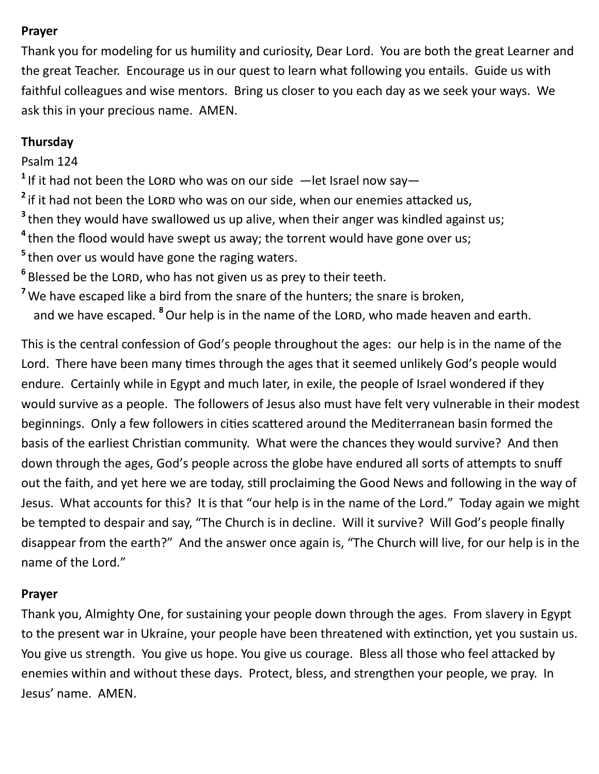#### **Prayer**

Thank you for modeling for us humility and curiosity, Dear Lord. You are both the great Learner and the great Teacher. Encourage us in our quest to learn what following you entails. Guide us with faithful colleagues and wise mentors. Bring us closer to you each day as we seek your ways. We ask this in your precious name. AMEN.

# **Thursday**

# Psalm 124

<sup>1</sup> If it had not been the LORD who was on our side  $-$  let Israel now say $-$ 

- <sup>2</sup> if it had not been the LORD who was on our side, when our enemies attacked us,
- **3** then they would have swallowed us up alive, when their anger was kindled against us;
- **4** then the flood would have swept us away; the torrent would have gone over us;
- **5** then over us would have gone the raging waters.
- <sup>6</sup> Blessed be the LORD, who has not given us as prey to their teeth.
- <sup>7</sup> We have escaped like a bird from the snare of the hunters; the snare is broken, and we have escaped. <sup>8</sup>Our help is in the name of the LORD, who made heaven and earth.

This is the central confession of God's people throughout the ages: our help is in the name of the Lord. There have been many times through the ages that it seemed unlikely God's people would endure. Certainly while in Egypt and much later, in exile, the people of Israel wondered if they would survive as a people. The followers of Jesus also must have felt very vulnerable in their modest beginnings. Only a few followers in cities scattered around the Mediterranean basin formed the basis of the earliest Christian community. What were the chances they would survive? And then down through the ages, God's people across the globe have endured all sorts of attempts to snuff out the faith, and yet here we are today, still proclaiming the Good News and following in the way of Jesus. What accounts for this? It is that "our help is in the name of the Lord." Today again we might be tempted to despair and say, "The Church is in decline. Will it survive? Will God's people finally disappear from the earth?" And the answer once again is, "The Church will live, for our help is in the name of the Lord."

## **Prayer**

Thank you, Almighty One, for sustaining your people down through the ages. From slavery in Egypt to the present war in Ukraine, your people have been threatened with extinction, yet you sustain us. You give us strength. You give us hope. You give us courage. Bless all those who feel attacked by enemies within and without these days. Protect, bless, and strengthen your people, we pray. In Jesus' name. AMEN.